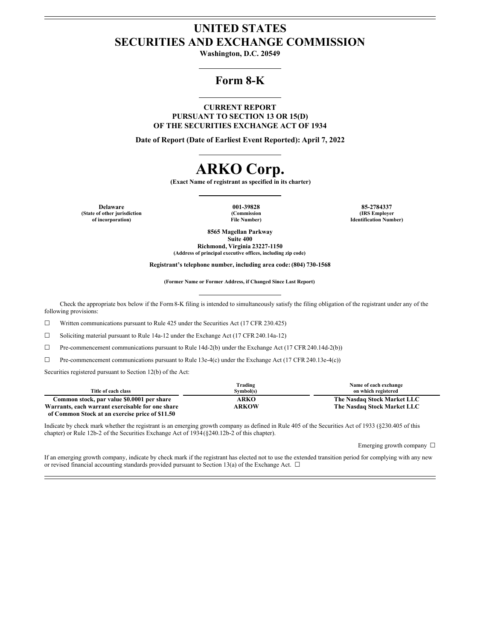# **UNITED STATES SECURITIES AND EXCHANGE COMMISSION**

**Washington, D.C. 20549**

# **Form 8-K**

**CURRENT REPORT PURSUANT TO SECTION 13 OR 15(D) OF THE SECURITIES EXCHANGE ACT OF 1934**

**Date of Report (Date of Earliest Event Reported): April 7, 2022**

# **ARKO Corp.**

**(Exact Name of registrant as specified in its charter)**

**Delaware 001-39828 85-2784337 (State of other jurisdiction of incorporation)**

**(Commission File Number)**

**(IRS Employer Identification Number)**

**8565 Magellan Parkway**

**Suite 400 Richmond, Virginia 23227-1150 (Address of principal executive offices, including zip code)**

**Registrant's telephone number, including area code: (804) 730-1568**

**(Former Name or Former Address, if Changed Since Last Report)**

Check the appropriate box below if the Form8-K filing is intended to simultaneously satisfy the filing obligation of the registrant under any of the following provisions:

☐ Written communications pursuant to Rule 425 under the Securities Act (17 CFR 230.425)

 $\Box$  Soliciting material pursuant to Rule 14a-12 under the Exchange Act (17 CFR 240.14a-12)

☐ Pre-commencement communications pursuant to Rule 14d-2(b) under the Exchange Act (17 CFR 240.14d-2(b))

☐ Pre-commencement communications pursuant to Rule 13e-4(c) under the Exchange Act (17 CFR 240.13e-4(c))

Securities registered pursuant to Section 12(b) of the Act:

|                                                  | Trading      | Name of each exchange       |
|--------------------------------------------------|--------------|-----------------------------|
| Title of each class                              | Symbol(s)    | on which registered         |
| Common stock, par value \$0.0001 per share       | <b>ARKO</b>  | The Nasdaq Stock Market LLC |
| Warrants, each warrant exercisable for one share | <b>ARKOW</b> | The Nasdaq Stock Market LLC |
| of Common Stock at an exercise price of \$11.50  |              |                             |

Indicate by check mark whether the registrant is an emerging growth company as defined in Rule 405 of the Securities Act of 1933 (§230.405 of this chapter) or Rule 12b-2 of the Securities Exchange Act of 1934(§240.12b-2 of this chapter).

Emerging growth company □

If an emerging growth company, indicate by check mark if the registrant has elected not to use the extended transition period for complying with any new or revised financial accounting standards provided pursuant to Section 13(a) of the Exchange Act.  $\Box$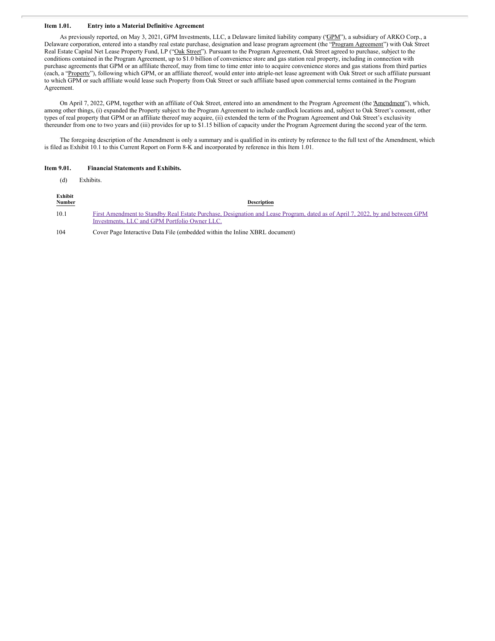## **Item 1.01. Entry into a Material Definitive Agreement**

As previously reported, on May 3, 2021, GPM Investments, LLC, a Delaware limited liability company ('GPM'), a subsidiary of ARKO Corp., a Delaware corporation, entered into a standby real estate purchase, designation and lease program agreement (the "Program Agreement") with Oak Street Real Estate Capital Net Lease Property Fund, LP ("Oak Street"). Pursuant to the Program Agreement, Oak Street agreed to purchase, subject to the conditions contained in the Program Agreement, up to \$1.0 billion of convenience store and gas station real property, including in connection with purchase agreements that GPM or an affiliate thereof, may from time to time enter into to acquire convenience stores and gas stations from third parties (each, a "Property"), following which GPM, or an affiliate thereof, would enter into atriple-net lease agreement with Oak Street or such affiliate pursuant to which GPM or such affiliate would lease such Property from Oak Street or such affiliate based upon commercial terms contained in the Program Agreement.

On April 7, 2022, GPM, together with an affiliate of Oak Street, entered into an amendment to the Program Agreement (the 'Amendment''), which, among other things, (i) expanded the Property subject to the Program Agreement to include cardlock locations and, subject to Oak Street's consent, other types of real property that GPM or an affiliate thereof may acquire, (ii) extended the term of the Program Agreement and Oak Street's exclusivity thereunder from one to two years and (iii) provides for up to \$1.15 billion of capacity under the Program Agreement during the second year of the term.

The foregoing description of the Amendment is only a summary and is qualified in its entirety by reference to the full text of the Amendment, which is filed as Exhibit 10.1 to this Current Report on Form 8-K and incorporated by reference in this Item 1.01.

#### **Item 9.01. Financial Statements and Exhibits.**

(d) Exhibits.

| Exhibit<br><b>Number</b> | <b>Description</b>                                                                                                                                                             |
|--------------------------|--------------------------------------------------------------------------------------------------------------------------------------------------------------------------------|
| 10.1                     | First Amendment to Standby Real Estate Purchase, Designation and Lease Program, dated as of April 7, 2022, by and between GPM<br>Investments, LLC and GPM Portfolio Owner LLC. |
| 104                      | Cover Page Interactive Data File (embedded within the Inline XBRL document)                                                                                                    |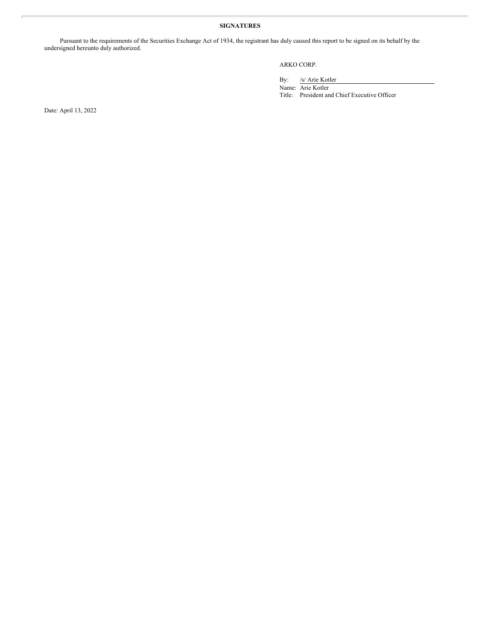## **SIGNATURES**

Pursuant to the requirements of the Securities Exchange Act of 1934, the registrant has duly caused this report to be signed on its behalf by the undersigned hereunto duly authorized.

## ARKO CORP.

By: /s/ Arie Kotler

Name: Arie Kotler Title: President and Chief Executive Officer

Date: April 13, 2022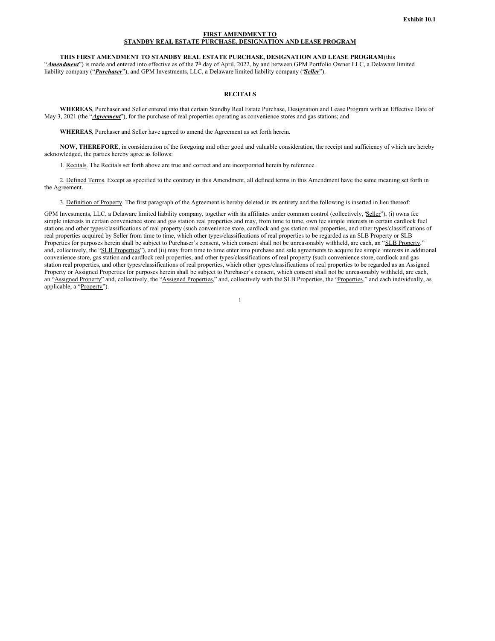#### **FIRST AMENDMENT TO STANDBY REAL ESTATE PURCHASE, DESIGNATION AND LEASE PROGRAM**

**THIS FIRST AMENDMENT TO STANDBY REAL ESTATE PURCHASE, DESIGNATION AND LEASE PROGRAM**(this "Amendment") is made and entered into effective as of the 7<sup>th</sup> day of April, 2022, by and between GPM Portfolio Owner LLC, a Delaware limited liability company ("*Purchaser*"), and GPM Investments, LLC, a Delaware limited liability company ("*Seller*").

#### **RECITALS**

**WHEREAS**, Purchaser and Seller entered into that certain Standby Real Estate Purchase, Designation and Lease Program with an Effective Date of May 3, 2021 (the "*Agreement*"), for the purchase of real properties operating as convenience stores and gas stations; and

**WHEREAS**, Purchaser and Seller have agreed to amend the Agreement as set forth herein.

**NOW, THEREFORE**, in consideration of the foregoing and other good and valuable consideration, the receipt and sufficiency of which are hereby acknowledged, the parties hereby agree as follows:

1. Recitals. The Recitals set forth above are true and correct and are incorporated herein by reference.

2. Defined Terms. Except as specified to the contrary in this Amendment, all defined terms in this Amendment have the same meaning set forth in the Agreement.

3. Definition of Property. The first paragraph of the Agreement is hereby deleted in its entirety and the following is inserted in lieu thereof:

GPM Investments, LLC, a Delaware limited liability company, together with its affiliates under common control (collectively, *Seller''*), (i) owns fee simple interests in certain convenience store and gas station real properties and may, from time to time, own fee simple interests in certain cardlock fuel stations and other types/classifications of real property (such convenience store, cardlock and gas station real properties, and other types/classifications of real properties acquired by Seller from time to time, which other types/classifications of real properties to be regarded as an SLB Property or SLB Properties for purposes herein shall be subject to Purchaser's consent, which consent shall not be unreasonably withheld, are each, an "SLB Property, and, collectively, the "SLB Properties"), and (ii) may from time to time enter into purchase and sale agreements to acquire fee simple interests in additional convenience store, gas station and cardlock real properties, and other types/classifications of real property (such convenience store, cardlock and gas station real properties, and other types/classifications of real properties, which other types/classifications of real properties to be regarded as an Assigned Property or Assigned Properties for purposes herein shall be subject to Purchaser's consent, which consent shall not be unreasonably withheld, are each, an "Assigned Property" and, collectively, the "Assigned Properties," and, collectively with the SLB Properties, the "Properties," and each individually, as applicable, a "Property").

1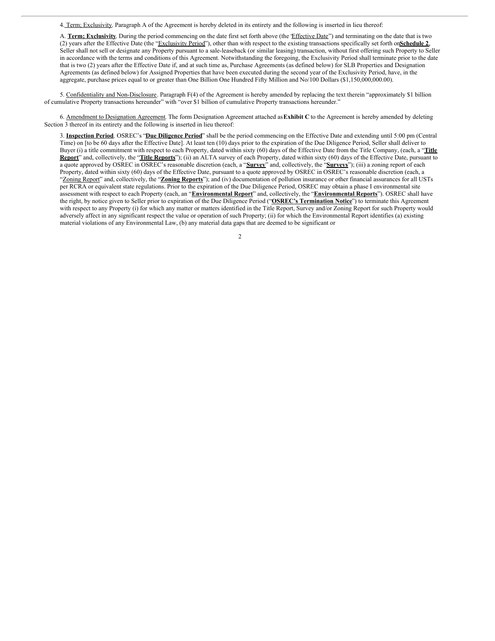4. Term; Exclusivity. Paragraph A of the Agreement is hereby deleted in its entirety and the following is inserted in lieu thereof:

A. Term; Exclusivity. During the period commencing on the date first set forth above (the *Effective Date*") and terminating on the date that is two (2) years after the Effective Date (the "Exclusivity Period"), other than with respect to the existing transactions specifically set forth on**Schedule 2**, Seller shall not sell or designate any Property pursuant to a sale-leaseback (or similar leasing) transaction, without first offering such Property to Seller in accordance with the terms and conditions of this Agreement. Notwithstanding the foregoing, the Exclusivity Period shall terminate prior to the date that is two (2) years after the Effective Date if, and at such time as, Purchase Agreements (as defined below) for SLB Properties and Designation Agreements (as defined below) for Assigned Properties that have been executed during the second year of the Exclusivity Period, have, in the aggregate, purchase prices equal to or greater than One Billion One Hundred Fifty Million and No/100 Dollars (\$1,150,000,000.00).

5. Confidentiality and Non-Disclosure. Paragraph F(4) of the Agreement is hereby amended by replacing the text therein "approximately \$1 billion of cumulative Property transactions hereunder" with "over \$1 billion of cumulative Property transactions hereunder."

6. Amendment to Designation Agreement. The form Designation Agreement attached as**Exhibit C** to the Agreement is hereby amended by deleting Section 3 thereof in its entirety and the following is inserted in lieu thereof:

3. **Inspection Period**. OSREC's "**Due Diligence Period**" shall be the period commencing on the Effective Date and extending until 5:00 pm (Central Time) on [to be 60 days after the Effective Date]. At least ten (10) days prior to the expiration of the Due Diligence Period, Seller shall deliver to Buyer (i) a title commitment with respect to each Property, dated within sixty (60) days of the Effective Date from the Title Company, (each, a "**Title Report**" and, collectively, the "**Title Reports**"); (ii) an ALTA survey of each Property, dated within sixty (60) days of the Effective Date, pursuant to a quote approved by OSREC in OSREC's reasonable discretion (each, a "**Survey**" and, collectively, the "**Surveys**"); (iii) a zoning report of each Property, dated within sixty (60) days of the Effective Date, pursuant to a quote approved by OSREC in OSREC's reasonable discretion (each, a "Zoning Report" and, collectively, the "**Zoning Reports**"); and (iv) documentation of pollution insurance or other financial assurances for all USTs per RCRA or equivalent state regulations. Prior to the expiration of the Due Diligence Period, OSREC may obtain a phase I environmental site assessment with respect to each Property (each, an "**Environmental Report**" and, collectively, the "**Environmental Reports**"). OSREC shall have the right, by notice given to Seller prior to expiration of the Due Diligence Period ("**OSREC's Termination Notice**") to terminate this Agreement with respect to any Property (i) for which any matter or matters identified in the Title Report, Survey and/or Zoning Report for such Property would adversely affect in any significant respect the value or operation of such Property; (ii) for which the Environmental Report identifies (a) existing material violations of any Environmental Law, (b) any material data gaps that are deemed to be significant or

 $\overline{2}$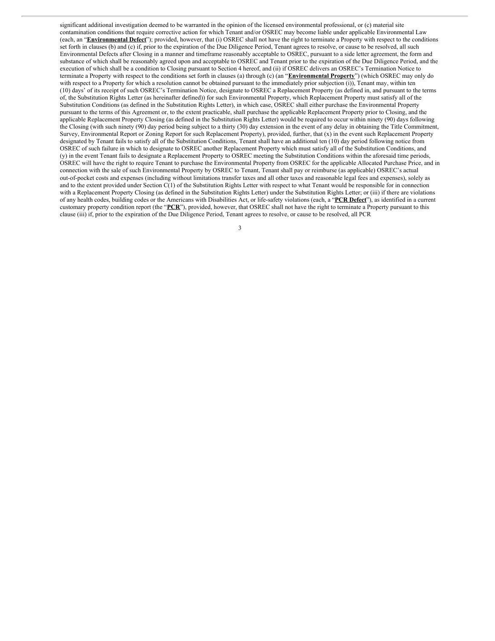<span id="page-5-0"></span>significant additional investigation deemed to be warranted in the opinion of the licensed environmental professional, or (c) material site contamination conditions that require corrective action for which Tenant and/or OSREC may become liable under applicable Environmental Law (each, an "**Environmental Defect**"); provided, however, that (i) OSREC shall not have the right to terminate a Property with respect to the conditions set forth in clauses (b) and (c) if, prior to the expiration of the Due Diligence Period, Tenant agrees to resolve, or cause to be resolved, all such Environmental Defects after Closing in a manner and timeframe reasonably acceptable to OSREC, pursuant to a side letter agreement, the form and substance of which shall be reasonably agreed upon and acceptable to OSREC and Tenant prior to the expiration of the Due Diligence Period, and the execution of which shall be a condition to Closing pursuant to Section 4 hereof, and (ii) if OSREC delivers an OSREC's Termination Notice to terminate a Property with respect to the conditions set forth in clauses (a) through (c) (an "**Environmental Property**") (which OSREC may only do with respect to a Property for which a resolution cannot be obtained pursuant to the immediately prior subjection (i)), Tenant may, within ten (10) days' of its receipt of such OSREC's Termination Notice, designate to OSREC a Replacement Property (as defined in, and pursuant to the terms of, the Substitution Rights Letter (as hereinafter defined)) for such Environmental Property, which Replacement Property must satisfy all of the Substitution Conditions (as defined in the Substitution Rights Letter), in which case, OSREC shall either purchase the Environmental Property pursuant to the terms of this Agreement or, to the extent practicable, shall purchase the applicable Replacement Property prior to Closing, and the applicable Replacement Property Closing (as defined in the Substitution Rights Letter) would be required to occur within ninety (90) days following the Closing (with such ninety (90) day period being subject to a thirty (30) day extension in the event of any delay in obtaining the Title Commitment, Survey, Environmental Report or Zoning Report for such Replacement Property), provided, further, that (x) in the event such Replacement Property designated by Tenant fails to satisfy all of the Substitution Conditions, Tenant shall have an additional ten (10) day period following notice from OSREC of such failure in which to designate to OSREC another Replacement Property which must satisfy all of the Substitution Conditions, and (y) in the event Tenant fails to designate a Replacement Property to OSREC meeting the Substitution Conditions within the aforesaid time periods, OSREC will have the right to require Tenant to purchase the Environmental Property from OSREC for the applicable Allocated Purchase Price, and in connection with the sale of such Environmental Property by OSREC to Tenant, Tenant shall pay or reimburse (as applicable) OSREC's actual out-of-pocket costs and expenses (including without limitations transfer taxes and all other taxes and reasonable legal fees and expenses), solely as and to the extent provided under Section C(1) of the Substitution Rights Letter with respect to what Tenant would be responsible for in connection with a Replacement Property Closing (as defined in the Substitution Rights Letter) under the Substitution Rights Letter; or (iii) if there are violations of any health codes, building codes or the Americans with Disabilities Act, or life-safety violations (each, a "**PCR Defect**"), as identified in a current customary property condition report (the "**PCR**"), provided, however, that OSREC shall not have the right to terminate a Property pursuant to this clause (iii) if, prior to the expiration of the Due Diligence Period, Tenant agrees to resolve, or cause to be resolved, all PCR

3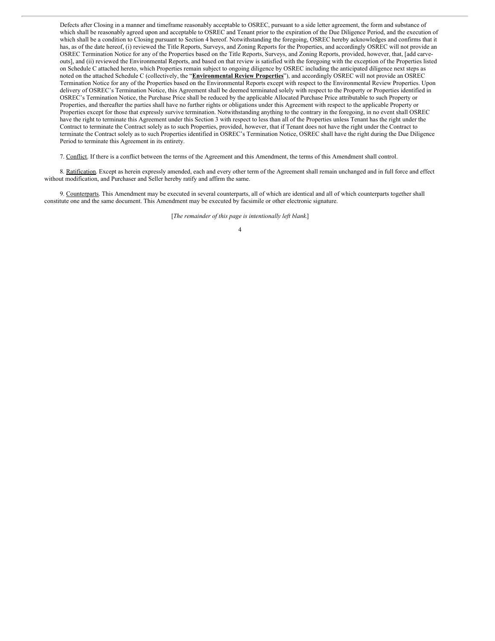Defects after Closing in a manner and timeframe reasonably acceptable to OSREC, pursuant to a side letter agreement, the form and substance of which shall be reasonably agreed upon and acceptable to OSREC and Tenant prior to the expiration of the Due Diligence Period, and the execution of which shall be a condition to Closing pursuant to Section 4 hereof. Notwithstanding the foregoing, OSREC hereby acknowledges and confirms that it has, as of the date hereof, (i) reviewed the Title Reports, Surveys, and Zoning Reports for the Properties, and accordingly OSREC will not provide an OSREC Termination Notice for any of the Properties based on the Title Reports, Surveys, and Zoning Reports, provided, however, that, [add carveouts], and (ii) reviewed the Environmental Reports, and based on that review is satisfied with the foregoing with the exception of the Properties listed on Schedule C attached hereto, which Properties remain subject to ongoing diligence by OSREC including the anticipated diligence next steps as noted on the attached Schedule C (collectively, the "**Environmental Review Properties**"), and accordingly OSREC will not provide an OSREC Termination Notice for any of the Properties based on the Environmental Reports except with respect to the Environmental Review Properties. Upon delivery of OSREC's Termination Notice, this Agreement shall be deemed terminated solely with respect to the Property or Properties identified in OSREC's Termination Notice, the Purchase Price shall be reduced by the applicable Allocated Purchase Price attributable to such Property or Properties, and thereafter the parties shall have no further rights or obligations under this Agreement with respect to the applicable Property or Properties except for those that expressly survive termination. Notwithstanding anything to the contrary in the foregoing, in no event shall OSREC have the right to terminate this Agreement under this Section 3 with respect to less than all of the Properties unless Tenant has the right under the Contract to terminate the Contract solely as to such Properties, provided, however, that if Tenant does not have the right under the Contract to terminate the Contract solely as to such Properties identified in OSREC's Termination Notice, OSREC shall have the right during the Due Diligence Period to terminate this Agreement in its entirety.

7. Conflict. If there is a conflict between the terms of the Agreement and this Amendment, the terms of this Amendment shall control.

8. Ratification. Except as herein expressly amended, each and every other term of the Agreement shall remain unchanged and in full force and effect without modification, and Purchaser and Seller hereby ratify and affirm the same.

9. Counterparts. This Amendment may be executed in several counterparts, all of which are identical and all of which counterparts together shall constitute one and the same document. This Amendment may be executed by facsimile or other electronic signature.

[*The remainder of this page is intentionally left blank.*]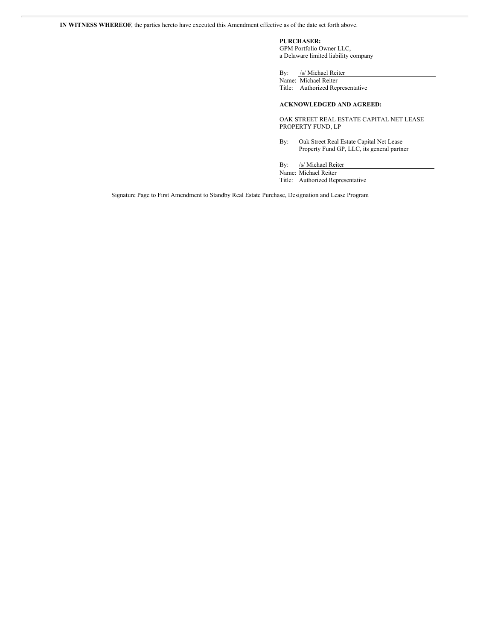**PURCHASER:** GPM Portfolio Owner LLC,

a Delaware limited liability company

By: /s/ Michael Reiter

Name: Michael Reiter Title: Authorized Representative

#### **ACKNOWLEDGED AND AGREED:**

OAK STREET REAL ESTATE CAPITAL NET LEASE PROPERTY FUND, LP

By: Oak Street Real Estate Capital Net Lease Property Fund GP, LLC, its general partner

By: /s/ Michael Reiter

Name: Michael Reiter Title: Authorized Representative

Signature Page to First Amendment to Standby Real Estate Purchase, Designation and Lease Program